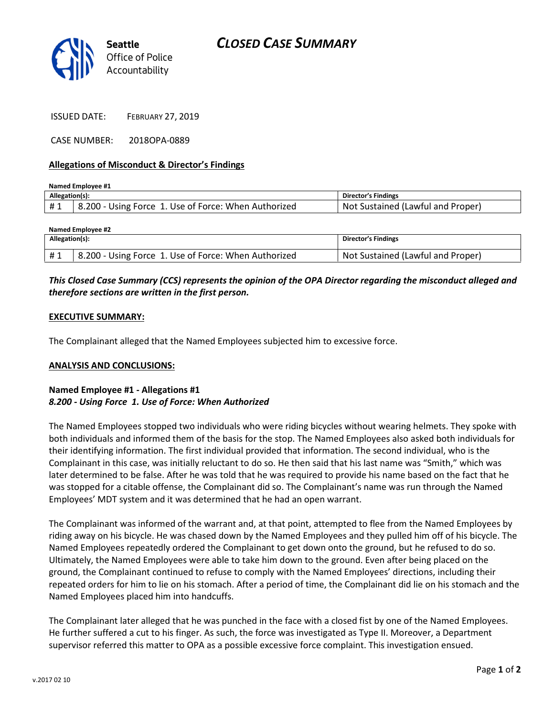

ISSUED DATE: FEBRUARY 27, 2019

CASE NUMBER: 2018OPA-0889

#### Allegations of Misconduct & Director's Findings

| Named Emplovee #1 |                                                      |                                   |  |
|-------------------|------------------------------------------------------|-----------------------------------|--|
| Allegation(s):    |                                                      | <b>Director's Findings</b>        |  |
|                   | 8.200 - Using Force 1. Use of Force: When Authorized | Not Sustained (Lawful and Proper) |  |

Named Employee #2

| Allegation(s): |                                                                   | Director's Findings               |
|----------------|-------------------------------------------------------------------|-----------------------------------|
| #1             | <sup>1</sup> 8.200 - Using Force 1. Use of Force: When Authorized | Not Sustained (Lawful and Proper) |

## This Closed Case Summary (CCS) represents the opinion of the OPA Director regarding the misconduct alleged and therefore sections are written in the first person.

#### EXECUTIVE SUMMARY:

The Complainant alleged that the Named Employees subjected him to excessive force.

#### ANALYSIS AND CONCLUSIONS:

### Named Employee #1 - Allegations #1 8.200 - Using Force 1. Use of Force: When Authorized

The Named Employees stopped two individuals who were riding bicycles without wearing helmets. They spoke with both individuals and informed them of the basis for the stop. The Named Employees also asked both individuals for their identifying information. The first individual provided that information. The second individual, who is the Complainant in this case, was initially reluctant to do so. He then said that his last name was "Smith," which was later determined to be false. After he was told that he was required to provide his name based on the fact that he was stopped for a citable offense, the Complainant did so. The Complainant's name was run through the Named Employees' MDT system and it was determined that he had an open warrant.

The Complainant was informed of the warrant and, at that point, attempted to flee from the Named Employees by riding away on his bicycle. He was chased down by the Named Employees and they pulled him off of his bicycle. The Named Employees repeatedly ordered the Complainant to get down onto the ground, but he refused to do so. Ultimately, the Named Employees were able to take him down to the ground. Even after being placed on the ground, the Complainant continued to refuse to comply with the Named Employees' directions, including their repeated orders for him to lie on his stomach. After a period of time, the Complainant did lie on his stomach and the Named Employees placed him into handcuffs.

The Complainant later alleged that he was punched in the face with a closed fist by one of the Named Employees. He further suffered a cut to his finger. As such, the force was investigated as Type II. Moreover, a Department supervisor referred this matter to OPA as a possible excessive force complaint. This investigation ensued.